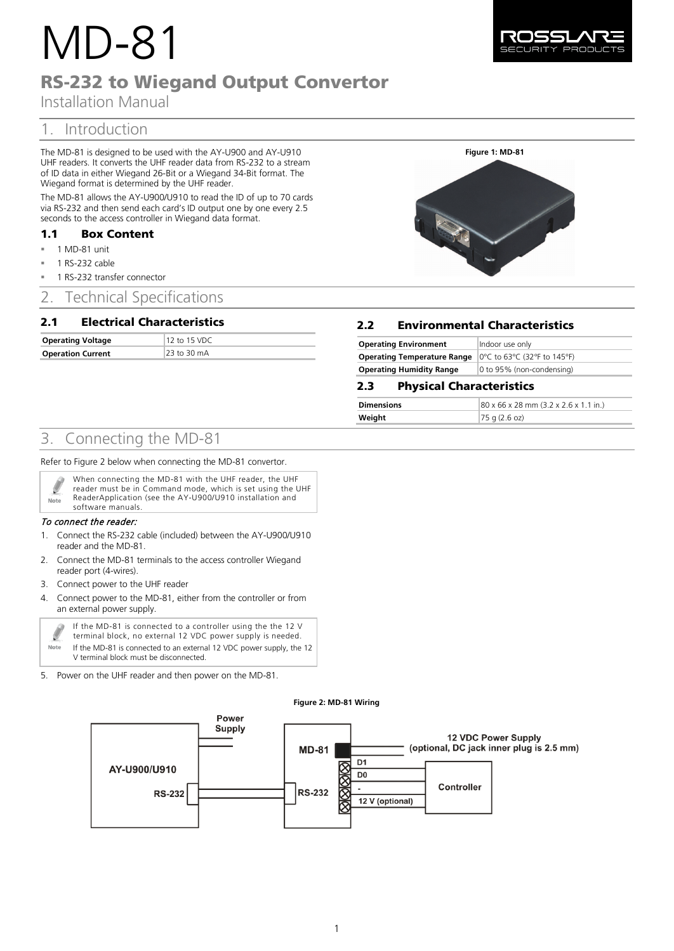# MD-81

# RS-232 to Wiegand Output Convertor

Installation Manual

# 1. Introduction

The MD-81 is designed to be used with the AY-U900 and AY-U910 UHF readers. It converts the UHF reader data from RS-232 to a stream of ID data in either Wiegand 26-Bit or a Wiegand 34-Bit format. The Wiegand format is determined by the UHF reader.

The MD-81 allows the AY-U900/U910 to read the ID of up to 70 cards via RS-232 and then send each card's ID output one by one every 2.5 seconds to the access controller in Wiegand data format.

### 1.1 Box Content

- $= 1$  MD-81 unit
- 1 RS-232 cable
- 1 RS-232 transfer connector

# 2. Technical Specifications

## 2.1 Electrical Characteristics

| <b>Operating Voltage</b> | 12 to 15 VDC |
|--------------------------|--------------|
| <b>Operation Current</b> | 23 to 30 mA  |

# 2.2 Environmental Characteristics

| <b>Operating Environment</b>                                                                             | Indoor use only           |
|----------------------------------------------------------------------------------------------------------|---------------------------|
| <b>Operating Temperature Range</b> $ 0^{\circ}C $ to 63 $^{\circ}C$ (32 $^{\circ}F$ to 145 $^{\circ}F$ ) |                           |
| <b>Operating Humidity Range</b>                                                                          | 0 to 95% (non-condensing) |

## 2.3 Physical Characteristics

| <b>Dimensions</b> | $ 80 \times 66 \times 28 \text{ mm}$ (3.2 x 2.6 x 1.1 in.) |
|-------------------|------------------------------------------------------------|
| Weight            | $ 75 \text{ q} (2.6 \text{ oz})$                           |

# 3. Connecting the MD-81

Refer t[o Figure 2](#page-0-0) below when connecting the MD-81 convertor.

| When connecting the MD-81 with the UHF reader, the UHF<br>reader must be in Command mode, which is set using the UHF<br>ReaderApplication (see the AY-U900/U910 installation and<br>software manuals. |
|-------------------------------------------------------------------------------------------------------------------------------------------------------------------------------------------------------|
|                                                                                                                                                                                                       |
|                                                                                                                                                                                                       |

#### To connect the reader:

- 1. Connect the RS-232 cable (included) between the AY-U900/U910 reader and the MD-81.
- 2. Connect the MD-81 terminals to the access controller Wiegand reader port (4-wires).
- 3. Connect power to the UHF reader
- 4. Connect power to the MD-81, either from the controller or from an external power supply.

| -9   | If the MD-81 is connected to a controller using the the 12 V<br>terminal block, no external 12 VDC power supply is needed. |
|------|----------------------------------------------------------------------------------------------------------------------------|
| Note | If the MD-81 is connected to an external 12 VDC power supply, the 12<br>V terminal block must be disconnected.             |

<span id="page-0-0"></span>5. Power on the UHF reader and then power on the MD-81.

#### **Figure 2: MD-81 Wiring**



1